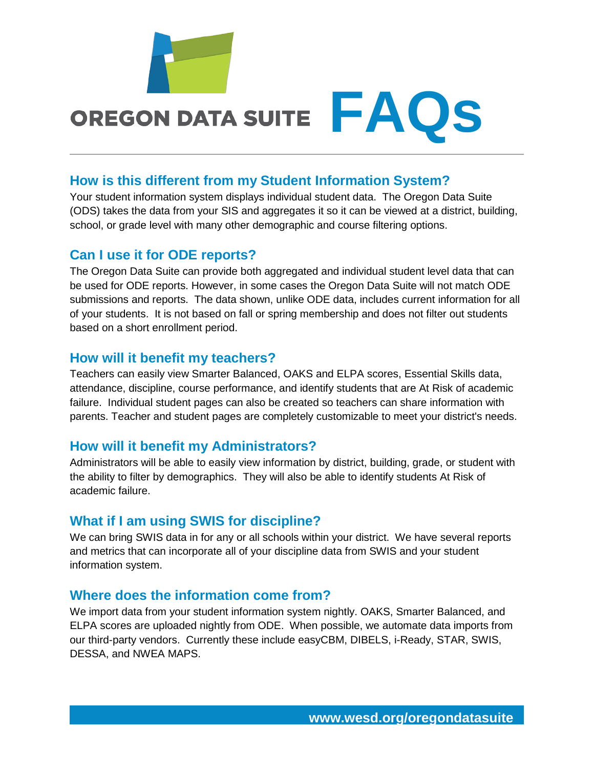

# OREGON DATA SUITE  $FAQS$

### **How is this different from my Student Information System?**

Your student information system displays individual student data. The Oregon Data Suite (ODS) takes the data from your SIS and aggregates it so it can be viewed at a district, building, school, or grade level with many other demographic and course filtering options.

#### **Can I use it for ODE reports?**

The Oregon Data Suite can provide both aggregated and individual student level data that can be used for ODE reports. However, in some cases the Oregon Data Suite will not match ODE submissions and reports. The data shown, unlike ODE data, includes current information for all of your students. It is not based on fall or spring membership and does not filter out students based on a short enrollment period.

#### **How will it benefit my teachers?**

Teachers can easily view Smarter Balanced, OAKS and ELPA scores, Essential Skills data, attendance, discipline, course performance, and identify students that are At Risk of academic failure. Individual student pages can also be created so teachers can share information with parents. Teacher and student pages are completely customizable to meet your district's needs.

#### **How will it benefit my Administrators?**

Administrators will be able to easily view information by district, building, grade, or student with the ability to filter by demographics. They will also be able to identify students At Risk of academic failure.

## **What if I am using SWIS for discipline?**

We can bring SWIS data in for any or all schools within your district. We have several reports and metrics that can incorporate all of your discipline data from SWIS and your student information system.

#### **Where does the information come from?**

We import data from your student information system nightly. OAKS, Smarter Balanced, and ELPA scores are uploaded nightly from ODE. When possible, we automate data imports from our third-party vendors. Currently these include easyCBM, DIBELS, i-Ready, STAR, SWIS, DESSA, and NWEA MAPS.